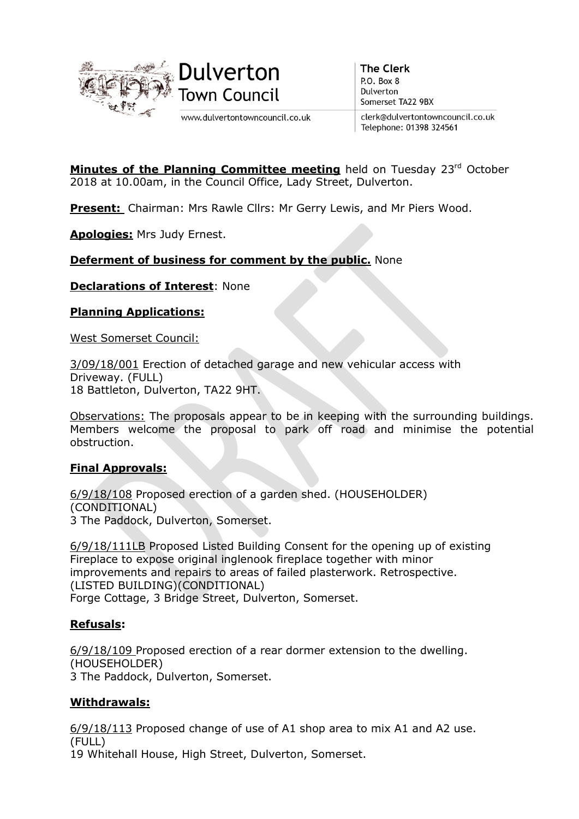

www.dulvertontowncouncil.co.uk

**The Clerk**  $P.$  O. Box  $8$ Dulverton Somerset TA22 9BX

clerk@dulvertontowncouncil.co.uk Telephone: 01398 324561

**Minutes of the Planning Committee meeting** held on Tuesday  $23<sup>rd</sup>$  October 2018 at 10.00am, in the Council Office, Lady Street, Dulverton.

Present: Chairman: Mrs Rawle Cllrs: Mr Gerry Lewis, and Mr Piers Wood.

Apologies: Mrs Judy Ernest.

## **Deferment of business for comment by the public.** None

Declarations of Interest: None

### Planning Applications:

West Somerset Council:

3/09/18/001 Erection of detached garage and new vehicular access with Driveway. (FULL) 18 Battleton, Dulverton, TA22 9HT.

Observations: The proposals appear to be in keeping with the surrounding buildings. Members welcome the proposal to park off road and minimise the potential obstruction.

### Final Approvals:

6/9/18/108 Proposed erection of a garden shed. (HOUSEHOLDER) (CONDITIONAL) 3 The Paddock, Dulverton, Somerset.

6/9/18/111LB Proposed Listed Building Consent for the opening up of existing Fireplace to expose original inglenook fireplace together with minor improvements and repairs to areas of failed plasterwork. Retrospective. (LISTED BUILDING)(CONDITIONAL) Forge Cottage, 3 Bridge Street, Dulverton, Somerset.

### Refusals:

6/9/18/109 Proposed erection of a rear dormer extension to the dwelling. (HOUSEHOLDER) 3 The Paddock, Dulverton, Somerset.

### Withdrawals:

6/9/18/113 Proposed change of use of A1 shop area to mix A1 and A2 use. (FULL)

19 Whitehall House, High Street, Dulverton, Somerset.